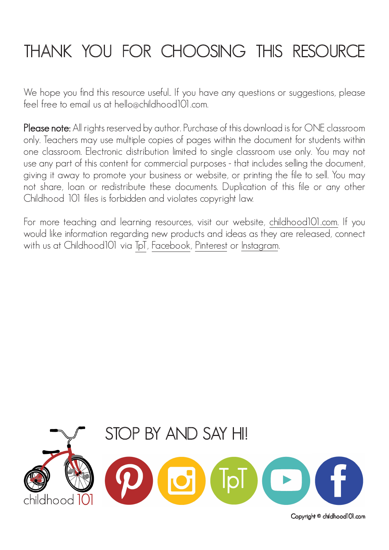## THANK YOU FOR CHOOSING THIS RESOURCE

We hope you find this resource useful.. If you have any questions or suggestions, please feel free to email us at hello@childhood101.com.

Please note: All rights reserved by author. Purchase of this download is for ONE classroom only. Teachers may use multiple copies of pages within the document for students within one classroom. Electronic distribution limited to single classroom use only. You may not use any part of this content for commercial purposes - that includes selling the document, giving it away to promote your business or website, or printing the file to sell. You may not share, loan or redistribute these documents. Duplication of this file or any other Childhood 101 files is forbidden and violates copyright law.

For more teaching and learning resources, visit our website, [childhood101.com.](https://childhood101.com) If you would like information regarding new products and ideas as they are released, connect with us at Childhood101 via [TpT,](https://www.teacherspayteachers.com/Store/Childhood-101) [Facebook,](https://www.facebook.com/Childhood101/) [Pinterest](https://www.pinterest.com.au/childhood101/) or [Instagram.](https://www.instagram.com/childhood101/)



Copyright © childhood101.com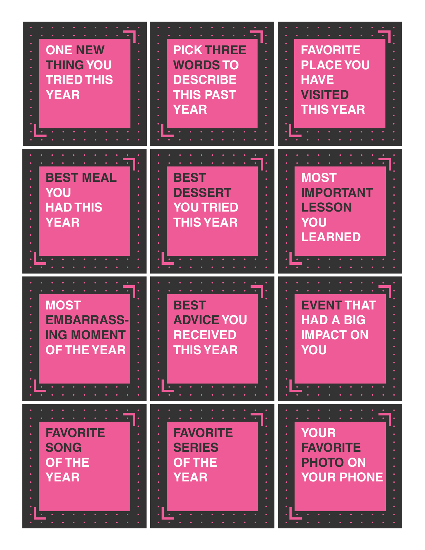